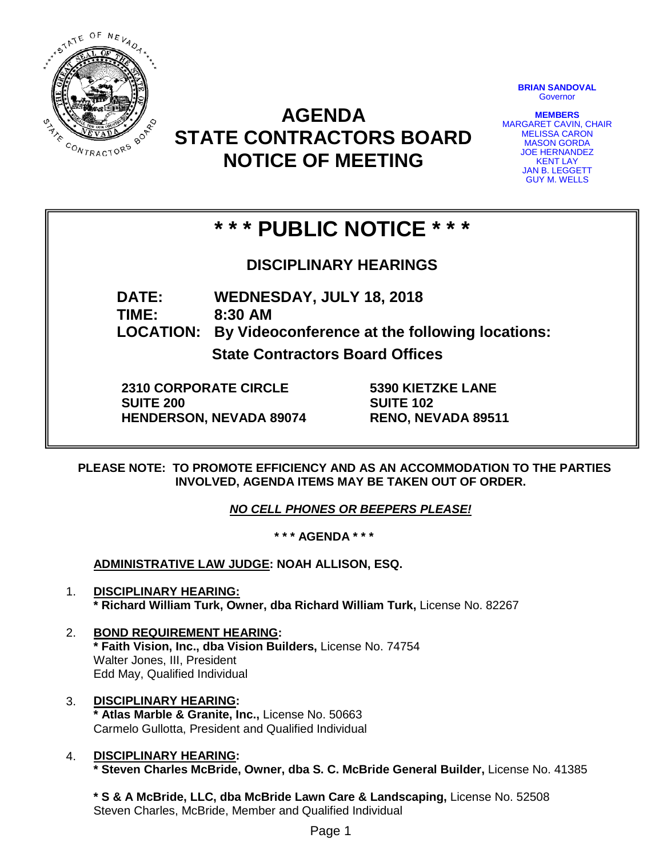

# **AGENDA STATE CONTRACTORS BOARD NOTICE OF MEETING**

**BRIAN SANDOVAL Governor** 

**MEMBERS** MARGARET CAVIN, CHAIR MELISSA CARON MASON GORDA JOE HERNANDEZ **KENT LAY** JAN B. LEGGETT GUY M. WELLS

# **\* \* \* PUBLIC NOTICE \* \* \***

**DISCIPLINARY HEARINGS**

**DATE: WEDNESDAY, JULY 18, 2018**

**TIME: 8:30 AM**

**LOCATION: By Videoconference at the following locations:**

**State Contractors Board Offices**

**2310 CORPORATE CIRCLE SUITE 200 HENDERSON, NEVADA 89074** **5390 KIETZKE LANE SUITE 102 RENO, NEVADA 89511**

**PLEASE NOTE: TO PROMOTE EFFICIENCY AND AS AN ACCOMMODATION TO THE PARTIES INVOLVED, AGENDA ITEMS MAY BE TAKEN OUT OF ORDER.**

*NO CELL PHONES OR BEEPERS PLEASE!* 

**\* \* \* AGENDA \* \* \***

**ADMINISTRATIVE LAW JUDGE: NOAH ALLISON, ESQ.** 

- 1. **DISCIPLINARY HEARING: \* Richard William Turk, Owner, dba Richard William Turk,** License No. 82267
- 2. **BOND REQUIREMENT HEARING: \* Faith Vision, Inc., dba Vision Builders,** License No. 74754 Walter Jones, III, President Edd May, Qualified Individual
- 3. **DISCIPLINARY HEARING: \* Atlas Marble & Granite, Inc.,** License No. 50663 Carmelo Gullotta, President and Qualified Individual
- 4. **DISCIPLINARY HEARING: \* Steven Charles McBride, Owner, dba S. C. McBride General Builder,** License No. 41385

**\* S & A McBride, LLC, dba McBride Lawn Care & Landscaping,** License No. 52508 Steven Charles, McBride, Member and Qualified Individual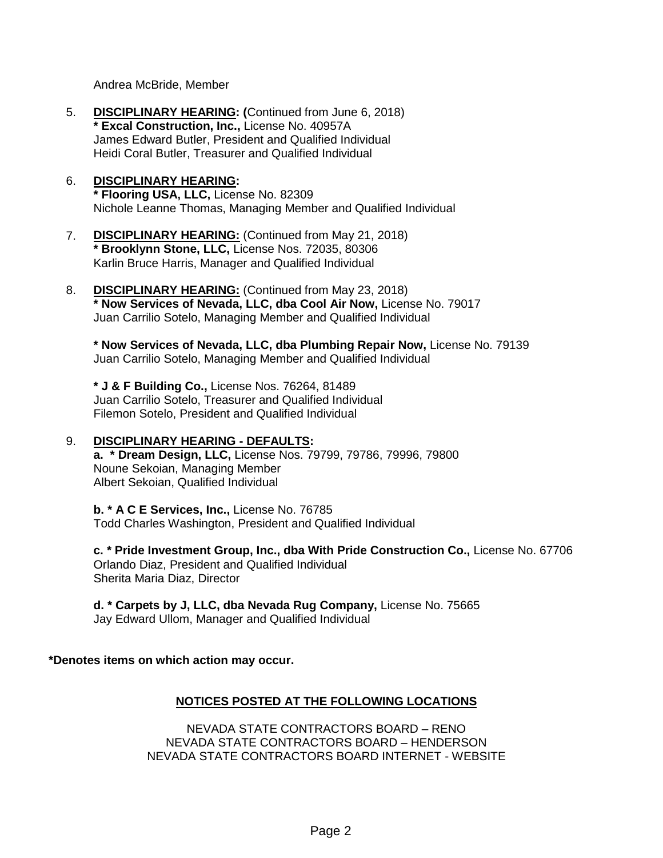Andrea McBride, Member

- 5. **DISCIPLINARY HEARING: (**Continued from June 6, 2018) **\* Excal Construction, Inc.,** License No. 40957A James Edward Butler, President and Qualified Individual Heidi Coral Butler, Treasurer and Qualified Individual
- 6. **DISCIPLINARY HEARING: \* Flooring USA, LLC,** License No. 82309 Nichole Leanne Thomas, Managing Member and Qualified Individual
- 7. **DISCIPLINARY HEARING:** (Continued from May 21, 2018) **\* Brooklynn Stone, LLC,** License Nos. 72035, 80306 Karlin Bruce Harris, Manager and Qualified Individual
- 8. **DISCIPLINARY HEARING:** (Continued from May 23, 2018) **\* Now Services of Nevada, LLC, dba Cool Air Now,** License No. 79017 Juan Carrilio Sotelo, Managing Member and Qualified Individual

**\* Now Services of Nevada, LLC, dba Plumbing Repair Now,** License No. 79139 Juan Carrilio Sotelo, Managing Member and Qualified Individual

**\* J & F Building Co.,** License Nos. 76264, 81489 Juan Carrilio Sotelo, Treasurer and Qualified Individual Filemon Sotelo, President and Qualified Individual

### 9. **DISCIPLINARY HEARING - DEFAULTS:**

**a. \* Dream Design, LLC,** License Nos. 79799, 79786, 79996, 79800 Noune Sekoian, Managing Member Albert Sekoian, Qualified Individual

**b. \* A C E Services, Inc.,** License No. 76785 Todd Charles Washington, President and Qualified Individual

**c. \* Pride Investment Group, Inc., dba With Pride Construction Co.,** License No. 67706 Orlando Diaz, President and Qualified Individual Sherita Maria Diaz, Director

**d. \* Carpets by J, LLC, dba Nevada Rug Company,** License No. 75665 Jay Edward Ullom, Manager and Qualified Individual

**\*Denotes items on which action may occur.**

### **NOTICES POSTED AT THE FOLLOWING LOCATIONS**

NEVADA STATE CONTRACTORS BOARD – RENO NEVADA STATE CONTRACTORS BOARD – HENDERSON NEVADA STATE CONTRACTORS BOARD INTERNET - WEBSITE